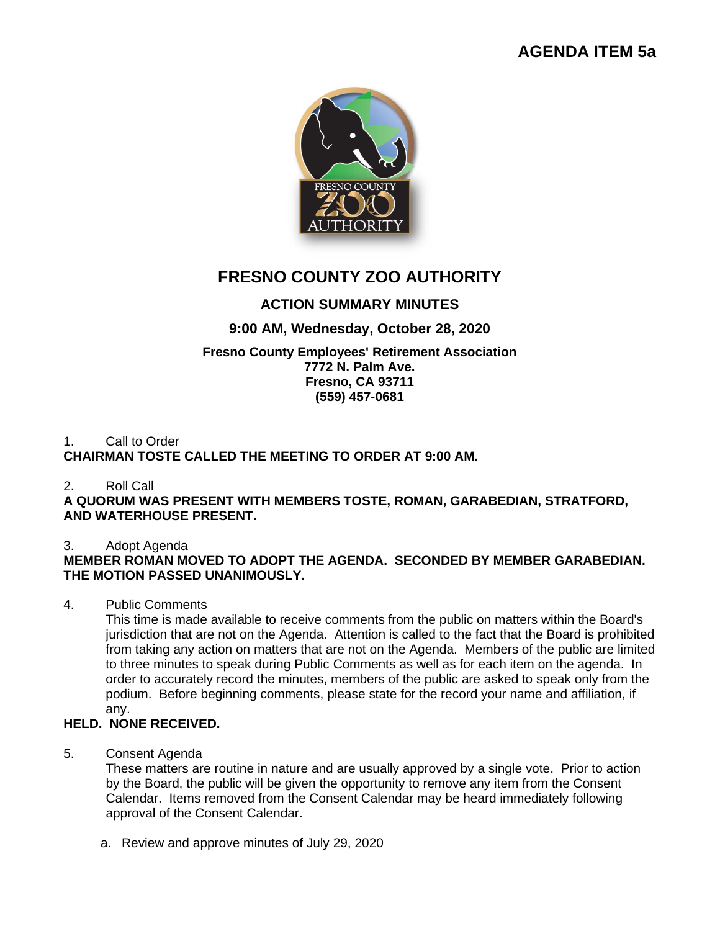# **AGENDA ITEM 5a**



# **FRESNO COUNTY ZOO AUTHORITY**

## **ACTION SUMMARY MINUTES**

### **9:00 AM, Wednesday, October 28, 2020**

#### **Fresno County Employees' Retirement Association 7772 N. Palm Ave. Fresno, CA 93711 (559) 457-0681**

#### 1. Call to Order **CHAIRMAN TOSTE CALLED THE MEETING TO ORDER AT 9:00 AM.**

### 2. Roll Call

**A QUORUM WAS PRESENT WITH MEMBERS TOSTE, ROMAN, GARABEDIAN, STRATFORD, AND WATERHOUSE PRESENT.**

### 3. Adopt Agenda

### **MEMBER ROMAN MOVED TO ADOPT THE AGENDA. SECONDED BY MEMBER GARABEDIAN. THE MOTION PASSED UNANIMOUSLY.**

### 4. Public Comments

This time is made available to receive comments from the public on matters within the Board's jurisdiction that are not on the Agenda. Attention is called to the fact that the Board is prohibited from taking any action on matters that are not on the Agenda. Members of the public are limited to three minutes to speak during Public Comments as well as for each item on the agenda. In order to accurately record the minutes, members of the public are asked to speak only from the podium. Before beginning comments, please state for the record your name and affiliation, if any.

### **HELD. NONE RECEIVED.**

5. Consent Agenda

These matters are routine in nature and are usually approved by a single vote. Prior to action by the Board, the public will be given the opportunity to remove any item from the Consent Calendar. Items removed from the Consent Calendar may be heard immediately following approval of the Consent Calendar.

a. Review and approve minutes of July 29, 2020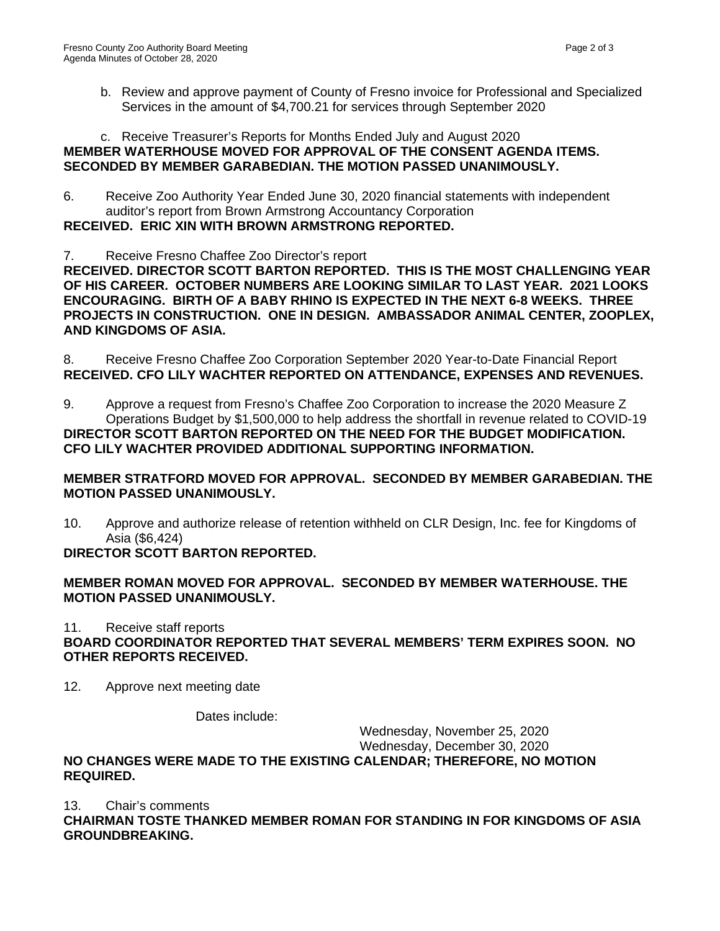b. Review and approve payment of County of Fresno invoice for Professional and Specialized Services in the amount of \$4,700.21 for services through September 2020

#### c. Receive Treasurer's Reports for Months Ended July and August 2020 **MEMBER WATERHOUSE MOVED FOR APPROVAL OF THE CONSENT AGENDA ITEMS. SECONDED BY MEMBER GARABEDIAN. THE MOTION PASSED UNANIMOUSLY.**

6. Receive Zoo Authority Year Ended June 30, 2020 financial statements with independent auditor's report from Brown Armstrong Accountancy Corporation

**RECEIVED. ERIC XIN WITH BROWN ARMSTRONG REPORTED.** 

7. Receive Fresno Chaffee Zoo Director's report

**RECEIVED. DIRECTOR SCOTT BARTON REPORTED. THIS IS THE MOST CHALLENGING YEAR OF HIS CAREER. OCTOBER NUMBERS ARE LOOKING SIMILAR TO LAST YEAR. 2021 LOOKS ENCOURAGING. BIRTH OF A BABY RHINO IS EXPECTED IN THE NEXT 6-8 WEEKS. THREE PROJECTS IN CONSTRUCTION. ONE IN DESIGN. AMBASSADOR ANIMAL CENTER, ZOOPLEX, AND KINGDOMS OF ASIA.**

8. Receive Fresno Chaffee Zoo Corporation September 2020 Year-to-Date Financial Report **RECEIVED. CFO LILY WACHTER REPORTED ON ATTENDANCE, EXPENSES AND REVENUES.**

9. Approve a request from Fresno's Chaffee Zoo Corporation to increase the 2020 Measure Z Operations Budget by \$1,500,000 to help address the shortfall in revenue related to COVID-19 **DIRECTOR SCOTT BARTON REPORTED ON THE NEED FOR THE BUDGET MODIFICATION. CFO LILY WACHTER PROVIDED ADDITIONAL SUPPORTING INFORMATION.**

#### **MEMBER STRATFORD MOVED FOR APPROVAL. SECONDED BY MEMBER GARABEDIAN. THE MOTION PASSED UNANIMOUSLY.**

10. Approve and authorize release of retention withheld on CLR Design, Inc. fee for Kingdoms of Asia (\$6,424)

### **DIRECTOR SCOTT BARTON REPORTED.**

### **MEMBER ROMAN MOVED FOR APPROVAL. SECONDED BY MEMBER WATERHOUSE. THE MOTION PASSED UNANIMOUSLY.**

11. Receive staff reports

### **BOARD COORDINATOR REPORTED THAT SEVERAL MEMBERS' TERM EXPIRES SOON. NO OTHER REPORTS RECEIVED.**

12. Approve next meeting date

Dates include:

#### Wednesday, November 25, 2020 Wednesday, December 30, 2020 **NO CHANGES WERE MADE TO THE EXISTING CALENDAR; THEREFORE, NO MOTION REQUIRED.**

13. Chair's comments

**CHAIRMAN TOSTE THANKED MEMBER ROMAN FOR STANDING IN FOR KINGDOMS OF ASIA GROUNDBREAKING.**